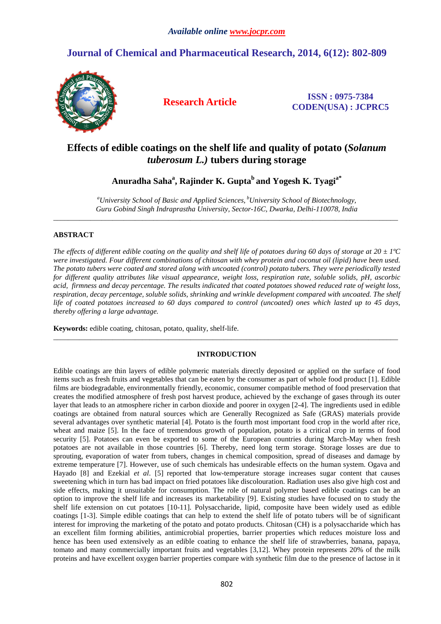# **Journal of Chemical and Pharmaceutical Research, 2014, 6(12): 802-809**



**Research Article ISSN : 0975-7384 CODEN(USA) : JCPRC5**

# **Effects of edible coatings on the shelf life and quality of potato (***Solanum tuberosum L.)* **tubers during storage**

**Anuradha Saha<sup>a</sup> , Rajinder K. Gupta<sup>b</sup>and Yogesh K. Tyagia\*** 

*<sup>a</sup>University School of Basic and Applied Sciences, <sup>b</sup>University School of Biotechnology, Guru Gobind Singh Indraprastha University, Sector-16C, Dwarka, Delhi-110078, India* \_\_\_\_\_\_\_\_\_\_\_\_\_\_\_\_\_\_\_\_\_\_\_\_\_\_\_\_\_\_\_\_\_\_\_\_\_\_\_\_\_\_\_\_\_\_\_\_\_\_\_\_\_\_\_\_\_\_\_\_\_\_\_\_\_\_\_\_\_\_\_\_\_\_\_\_\_\_\_\_\_\_\_\_\_\_\_\_\_\_\_\_\_

# **ABSTRACT**

*The effects of different edible coating on the quality and shelf life of potatoes during 60 days of storage at 20*  $\pm$  *1°C were investigated. Four different combinations of chitosan with whey protein and coconut oil (lipid) have been used. The potato tubers were coated and stored along with uncoated (control) potato tubers. They were periodically tested for different quality attributes like visual appearance, weight loss, respiration rate, soluble solids, pH, ascorbic acid, firmness and decay percentage. The results indicated that coated potatoes showed reduced rate of weight loss, respiration, decay percentage, soluble solids, shrinking and wrinkle development compared with uncoated. The shelf life of coated potatoes increased to 60 days compared to control (uncoated) ones which lasted up to 45 days, thereby offering a large advantage.* 

**Keywords:** edible coating, chitosan, potato, quality, shelf-life.

# **INTRODUCTION**

\_\_\_\_\_\_\_\_\_\_\_\_\_\_\_\_\_\_\_\_\_\_\_\_\_\_\_\_\_\_\_\_\_\_\_\_\_\_\_\_\_\_\_\_\_\_\_\_\_\_\_\_\_\_\_\_\_\_\_\_\_\_\_\_\_\_\_\_\_\_\_\_\_\_\_\_\_\_\_\_\_\_\_\_\_\_\_\_\_\_\_\_\_

Edible coatings are thin layers of edible polymeric materials directly deposited or applied on the surface of food items such as fresh fruits and vegetables that can be eaten by the consumer as part of whole food product [1]. Edible films are biodegradable, environmentally friendly, economic, consumer compatible method of food preservation that creates the modified atmosphere of fresh post harvest produce, achieved by the exchange of gases through its outer layer that leads to an atmosphere richer in carbon dioxide and poorer in oxygen [2-4]. The ingredients used in edible coatings are obtained from natural sources which are Generally Recognized as Safe (GRAS) materials provide several advantages over synthetic material [4]. Potato is the fourth most important food crop in the world after rice, wheat and maize [5]. In the face of tremendous growth of population, potato is a critical crop in terms of food security [5]. Potatoes can even be exported to some of the European countries during March-May when fresh potatoes are not available in those countries [6]. Thereby, need long term storage. Storage losses are due to sprouting, evaporation of water from tubers, changes in chemical composition, spread of diseases and damage by extreme temperature [7]. However, use of such chemicals has undesirable effects on the human system. Ogava and Hayado [8] and Ezekial *et al*. [5] reported that low-temperature storage increases sugar content that causes sweetening which in turn has bad impact on fried potatoes like discolouration. Radiation uses also give high cost and side effects, making it unsuitable for consumption. The role of natural polymer based edible coatings can be an option to improve the shelf life and increases its marketability [9]. Existing studies have focused on to study the shelf life extension on cut potatoes [10-11]. Polysaccharide, lipid, composite have been widely used as edible coatings [1-3]. Simple edible coatings that can help to extend the shelf life of potato tubers will be of significant interest for improving the marketing of the potato and potato products. Chitosan (CH) is a polysaccharide which has an excellent film forming abilities, antimicrobial properties, barrier properties which reduces moisture loss and hence has been used extensively as an edible coating to enhance the shelf life of strawberries, banana, papaya, tomato and many commercially important fruits and vegetables [3,12]. Whey protein represents 20% of the milk proteins and have excellent oxygen barrier properties compare with synthetic film due to the presence of lactose in it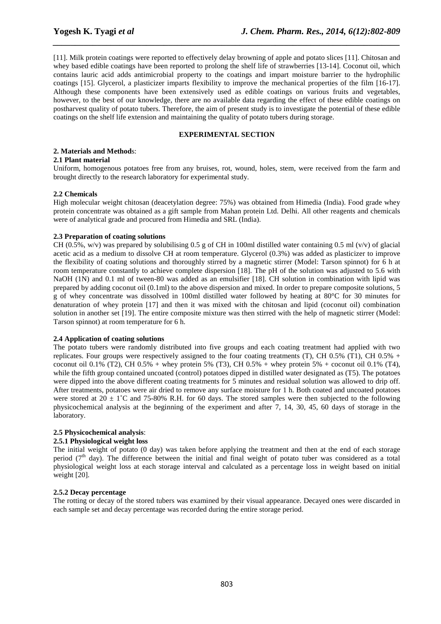[11]. Milk protein coatings were reported to effectively delay browning of apple and potato slices [11]. Chitosan and whey based edible coatings have been reported to prolong the shelf life of strawberries [13-14]. Coconut oil, which contains lauric acid adds antimicrobial property to the coatings and impart moisture barrier to the hydrophilic coatings [15]. Glycerol, a plasticizer imparts flexibility to improve the mechanical properties of the film [16-17]. Although these components have been extensively used as edible coatings on various fruits and vegetables, however, to the best of our knowledge, there are no available data regarding the effect of these edible coatings on postharvest quality of potato tubers. Therefore, the aim of present study is to investigate the potential of these edible coatings on the shelf life extension and maintaining the quality of potato tubers during storage.

*\_\_\_\_\_\_\_\_\_\_\_\_\_\_\_\_\_\_\_\_\_\_\_\_\_\_\_\_\_\_\_\_\_\_\_\_\_\_\_\_\_\_\_\_\_\_\_\_\_\_\_\_\_\_\_\_\_\_\_\_\_\_\_\_\_\_\_\_\_\_\_\_\_\_\_\_\_\_*

# **EXPERIMENTAL SECTION**

### **2. Materials and Method**s:

#### **2.1 Plant material**

Uniform, homogenous potatoes free from any bruises, rot, wound, holes, stem, were received from the farm and brought directly to the research laboratory for experimental study.

## **2.2 Chemicals**

High molecular weight chitosan (deacetylation degree: 75%) was obtained from Himedia (India). Food grade whey protein concentrate was obtained as a gift sample from Mahan protein Ltd. Delhi. All other reagents and chemicals were of analytical grade and procured from Himedia and SRL (India).

#### **2.3 Preparation of coating solutions**

CH (0.5%, w/v) was prepared by solubilising 0.5 g of CH in 100ml distilled water containing 0.5 ml (v/v) of glacial acetic acid as a medium to dissolve CH at room temperature. Glycerol (0.3%) was added as plasticizer to improve the flexibility of coating solutions and thoroughly stirred by a magnetic stirrer (Model: Tarson spinnot) for 6 h at room temperature constantly to achieve complete dispersion [18]. The pH of the solution was adjusted to 5.6 with NaOH (1N) and 0.1 ml of tween-80 was added as an emulsifier [18]. CH solution in combination with lipid was prepared by adding coconut oil (0.1ml) to the above dispersion and mixed. In order to prepare composite solutions, 5 g of whey concentrate was dissolved in 100ml distilled water followed by heating at 80°C for 30 minutes for denaturation of whey protein [17] and then it was mixed with the chitosan and lipid (coconut oil) combination solution in another set [19]. The entire composite mixture was then stirred with the help of magnetic stirrer (Model: Tarson spinnot) at room temperature for 6 h.

#### **2.4 Application of coating solutions**

The potato tubers were randomly distributed into five groups and each coating treatment had applied with two replicates. Four groups were respectively assigned to the four coating treatments (T), CH 0.5% (T1), CH 0.5% + coconut oil 0.1% (T2), CH 0.5% + whey protein 5% (T3), CH 0.5% + whey protein 5% + coconut oil 0.1% (T4), while the fifth group contained uncoated (control) potatoes dipped in distilled water designated as (T5). The potatoes were dipped into the above different coating treatments for 5 minutes and residual solution was allowed to drip off. After treatments, potatoes were air dried to remove any surface moisture for 1 h. Both coated and uncoated potatoes were stored at  $20 \pm 1$ °C and 75-80% R.H. for 60 days. The stored samples were then subjected to the following physicochemical analysis at the beginning of the experiment and after 7, 14, 30, 45, 60 days of storage in the laboratory.

## **2.5 Physicochemical analysis**:

# **2.5.1 Physiological weight loss**

The initial weight of potato (0 day) was taken before applying the treatment and then at the end of each storage period  $(7<sup>th</sup>$  day). The difference between the initial and final weight of potato tuber was considered as a total physiological weight loss at each storage interval and calculated as a percentage loss in weight based on initial weight [20].

## **2.5.2 Decay percentage**

The rotting or decay of the stored tubers was examined by their visual appearance. Decayed ones were discarded in each sample set and decay percentage was recorded during the entire storage period.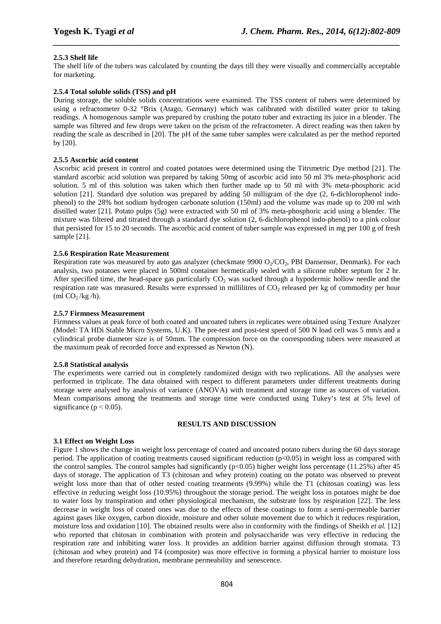# **2.5.3 Shelf life**

The shelf life of the tubers was calculated by counting the days till they were visually and commercially acceptable for marketing.

*\_\_\_\_\_\_\_\_\_\_\_\_\_\_\_\_\_\_\_\_\_\_\_\_\_\_\_\_\_\_\_\_\_\_\_\_\_\_\_\_\_\_\_\_\_\_\_\_\_\_\_\_\_\_\_\_\_\_\_\_\_\_\_\_\_\_\_\_\_\_\_\_\_\_\_\_\_\_*

# **2.5.4 Total soluble solids (TSS) and pH**

During storage, the soluble solids concentrations were examined. The TSS content of tubers were determined by using a refractometer 0-32 °Brix (Atago, Germany) which was calibrated with distilled water prior to taking readings. A homogenous sample was prepared by crushing the potato tuber and extracting its juice in a blender. The sample was filtered and few drops were taken on the prism of the refractometer. A direct reading was then taken by reading the scale as described in [20]. The pH of the same tuber samples were calculated as per the method reported by [20].

# **2.5.5 Ascorbic acid content**

Ascorbic acid present in control and coated potatoes were determined using the Titrimetric Dye method [21]. The standard ascorbic acid solution was prepared by taking 50mg of ascorbic acid into 50 ml 3% meta-phosphoric acid solution. 5 ml of this solution was taken which then further made up to 50 ml with 3% meta-phosphoric acid solution [21]. Standard dye solution was prepared by adding 50 milligram of the dye (2, 6-dichlorophenol indophenol) to the 28% hot sodium hydrogen carbonate solution (150ml) and the volume was made up to 200 ml with distilled water [21]. Potato pulps (5g) were extracted with 50 ml of 3% meta-phosphoric acid using a blender. The mixture was filtered and titrated through a standard dye solution (2, 6-dichlorophenol indo-phenol) to a pink colour that persisted for 15 to 20 seconds. The ascorbic acid content of tuber sample was expressed in mg per 100 g of fresh sample [21].

# **2.5.6 Respiration Rate Measurement**

Respiration rate was measured by auto gas analyzer (checkmate 9900  $O_2/CO_2$ , PBI Dansensor, Denmark). For each analysis, two potatoes were placed in 500ml container hermetically sealed with a silicone rubber septum for 2 hr. After specified time, the head-space gas particularly  $CO<sub>2</sub>$  was sucked through a hypodermic hollow needle and the respiration rate was measured. Results were expressed in millilitres of CO<sub>2</sub> released per kg of commodity per hour  $\overline{\text{m}}$  CO<sub>2</sub>/kg /h).

## **2.5.7 Firmness Measurement**

Firmness values at peak force of both coated and uncoated tubers in replicates were obtained using Texture Analyzer (Model: TA HDi Stable Micro Systems, U.K). The pre-test and post-test speed of 500 N load cell was 5 mm/s and a cylindrical probe diameter size is of 50mm. The compression force on the corresponding tubers were measured at the maximum peak of recorded force and expressed as Newton (N).

## **2.5.8 Statistical analysis**

The experiments were carried out in completely randomized design with two replications. All the analyses were performed in triplicate. The data obtained with respect to different parameters under different treatments during storage were analysed by analysis of variance (ANOVA) with treatment and storage time as sources of variation. Mean comparisons among the treatments and storage time were conducted using Tukey's test at 5% level of significance ( $p < 0.05$ ).

#### **RESULTS AND DISCUSSION**

# **3.1 Effect on Weight Loss**

Figure 1 shows the change in weight loss percentage of coated and uncoated potato tubers during the 60 days storage period. The application of coating treatments caused significant reduction  $(p<0.05)$  in weight loss as compared with the control samples. The control samples had significantly  $(p<0.05)$  higher weight loss percentage (11.25%) after 45 days of storage. The application of T3 (chitosan and whey protein) coating on the potato was observed to prevent weight loss more than that of other tested coating treatments (9.99%) while the T1 (chitosan coating) was less effective in reducing weight loss (10.95%) throughout the storage period. The weight loss in potatoes might be due to water loss by transpiration and other physiological mechanism, the substrate loss by respiration [22]. The less decrease in weight loss of coated ones was due to the effects of these coatings to form a semi-permeable barrier against gases like oxygen, carbon dioxide, moisture and other solute movement due to which it reduces respiration, moisture loss and oxidation [10]. The obtained results were also in conformity with the findings of Sheikh *et al.* [12] who reported that chitosan in combination with protein and polysaccharide was very effective in reducing the respiration rate and inhibiting water loss. It provides an addition barrier against diffusion through stomata. T3 (chitosan and whey protein) and T4 (composite) was more effective in forming a physical barrier to moisture loss and therefore retarding dehydration, membrane permeability and senescence.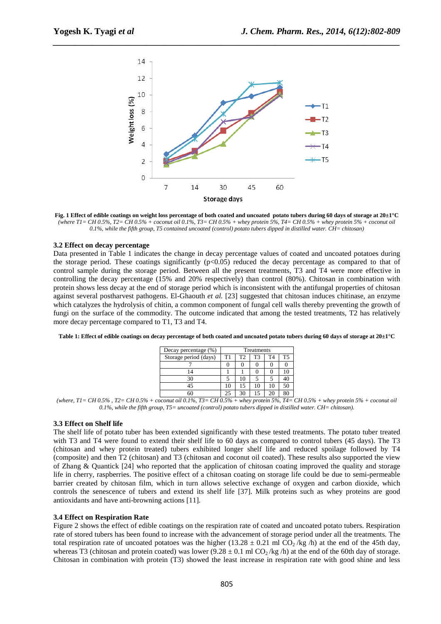

*\_\_\_\_\_\_\_\_\_\_\_\_\_\_\_\_\_\_\_\_\_\_\_\_\_\_\_\_\_\_\_\_\_\_\_\_\_\_\_\_\_\_\_\_\_\_\_\_\_\_\_\_\_\_\_\_\_\_\_\_\_\_\_\_\_\_\_\_\_\_\_\_\_\_\_\_\_\_*

**Fig. 1 Effect of edible coatings on weight loss percentage of both coated and uncoated potato tubers during 60 days of storage at 20±1°C**  *(where T1= CH 0.5%, T2= CH 0.5% + coconut oil 0.1%, T3= CH 0.5% + whey protein 5%, T4= CH 0.5% + whey protein 5% + coconut oil 0.1%, while the fifth group, T5 contained uncoated (control) potato tubers dipped in distilled water. CH= chitosan)* 

#### **3.2 Effect on decay percentage**

Data presented in Table 1 indicates the change in decay percentage values of coated and uncoated potatoes during the storage period. These coatings significantly  $(p<0.05)$  reduced the decay percentage as compared to that of control sample during the storage period. Between all the present treatments, T3 and T4 were more effective in controlling the decay percentage (15% and 20% respectively) than control (80%). Chitosan in combination with protein shows less decay at the end of storage period which is inconsistent with the antifungal properties of chitosan against several postharvest pathogens. El-Ghaouth *et al.* [23] suggested that chitosan induces chitinase, an enzyme which catalyzes the hydrolysis of chitin, a common component of fungal cell walls thereby preventing the growth of fungi on the surface of the commodity. The outcome indicated that among the tested treatments, T2 has relatively more decay percentage compared to T1, T3 and T4.

|  | Table 1: Effect of edible coatings on decay percentage of both coated and uncoated potato tubers during 60 days of storage at 20±1°C |
|--|--------------------------------------------------------------------------------------------------------------------------------------|
|  |                                                                                                                                      |
|  |                                                                                                                                      |

| Decay percentage (%)  | Treatments |                |    |    |                |
|-----------------------|------------|----------------|----|----|----------------|
| Storage period (days) | T1         | T <sub>2</sub> | T3 | T4 | T <sub>5</sub> |
|                       |            |                |    |    |                |
|                       |            |                |    |    | 10             |
| 30                    |            | 10             |    |    | 40             |
| 45                    | 10         | 15             | 10 | 10 | 50             |
|                       | 25         | 30             | 15 | 20 | 80             |

*(where, T1= CH 0.5% , T2= CH 0.5% + coconut oil 0.1%, T3= CH 0.5% + whey protein 5%, T4= CH 0.5% + whey protein 5% + coconut oil 0.1%, while the fifth group, T5= uncoated (control) potato tubers dipped in distilled water. CH= chitosan).* 

#### **3.3 Effect on Shelf life**

The shelf life of potato tuber has been extended significantly with these tested treatments. The potato tuber treated with T3 and T4 were found to extend their shelf life to 60 days as compared to control tubers (45 days). The T3 (chitosan and whey protein treated) tubers exhibited longer shelf life and reduced spoilage followed by T4 (composite) and then T2 (chitosan) and T3 (chitosan and coconut oil coated). These results also supported the view of Zhang & Quantick [24] who reported that the application of chitosan coating improved the quality and storage life in cherry, raspberries. The positive effect of a chitosan coating on storage life could be due to semi-permeable barrier created by chitosan film, which in turn allows selective exchange of oxygen and carbon dioxide, which controls the senescence of tubers and extend its shelf life [37]. Milk proteins such as whey proteins are good antioxidants and have anti-browning actions [11].

#### **3.4 Effect on Respiration Rate**

Figure 2 shows the effect of edible coatings on the respiration rate of coated and uncoated potato tubers. Respiration rate of stored tubers has been found to increase with the advancement of storage period under all the treatments. The total respiration rate of uncoated potatoes was the higher (13.28  $\pm$  0.21 ml CO<sub>2</sub>/kg/h) at the end of the 45th day, whereas T3 (chitosan and protein coated) was lower (9.28  $\pm$  0.1 ml CO<sub>2</sub>/kg/h) at the end of the 60th day of storage. Chitosan in combination with protein (T3) showed the least increase in respiration rate with good shine and less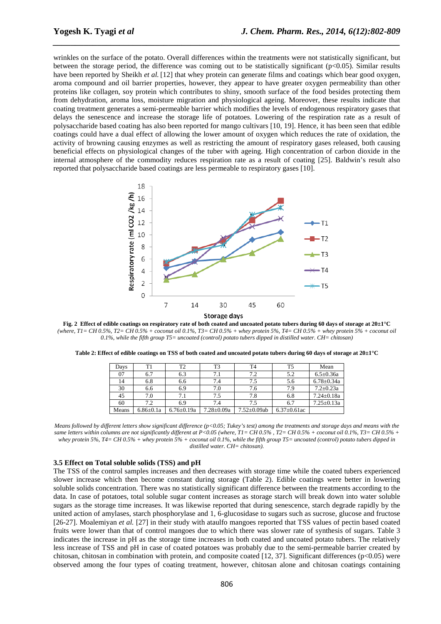wrinkles on the surface of the potato. Overall differences within the treatments were not statistically significant, but between the storage period, the difference was coming out to be statistically significant (p<0.05). Similar results have been reported by Sheikh *et al.* [12] that whey protein can generate films and coatings which bear good oxygen, aroma compound and oil barrier properties, however, they appear to have greater oxygen permeability than other proteins like collagen, soy protein which contributes to shiny, smooth surface of the food besides protecting them from dehydration, aroma loss, moisture migration and physiological ageing. Moreover, these results indicate that coating treatment generates a semi-permeable barrier which modifies the levels of endogenous respiratory gases that delays the senescence and increase the storage life of potatoes. Lowering of the respiration rate as a result of polysaccharide based coating has also been reported for mango cultivars [10, 19]. Hence, it has been seen that edible coatings could have a dual effect of allowing the lower amount of oxygen which reduces the rate of oxidation, the activity of browning causing enzymes as well as restricting the amount of respiratory gases released, both causing beneficial effects on physiological changes of the tuber with ageing. High concentration of carbon dioxide in the internal atmosphere of the commodity reduces respiration rate as a result of coating [25]. Baldwin's result also reported that polysaccharide based coatings are less permeable to respiratory gases [10].

*\_\_\_\_\_\_\_\_\_\_\_\_\_\_\_\_\_\_\_\_\_\_\_\_\_\_\_\_\_\_\_\_\_\_\_\_\_\_\_\_\_\_\_\_\_\_\_\_\_\_\_\_\_\_\_\_\_\_\_\_\_\_\_\_\_\_\_\_\_\_\_\_\_\_\_\_\_\_*



**Fig. 2 Effect of edible coatings on respiratory rate of both coated and uncoated potato tubers during 60 days of storage at 20±1°C**  *(where, T1= CH 0.5%, T2= CH 0.5% + coconut oil 0.1%, T3= CH 0.5% + whey protein 5%, T4= CH 0.5% + whey protein 5% + coconut oil 0.1%, while the fifth group T5= uncoated (control) potato tubers dipped in distilled water. CH= chitosan)* 

| Days  | T1              | T2               | T3               | T <sub>4</sub>     | T5                 | Mean             |
|-------|-----------------|------------------|------------------|--------------------|--------------------|------------------|
| 07    | 6.7             | 6.3              | 7.1              | 7.2                | 5.2                | $6.5 \pm 0.36a$  |
| 14    | 6.8             | 6.6              | 7.4              | 7.5                | 5.6                | $6.78 \pm 0.34a$ |
| 30    | 6.6             | 6.9              | 7.0              | 7.6                | 7.9                | $7.2 \pm 0.23a$  |
| 45    | 7.0             | 7.1              | 7.5              | 7.8                | 6.8                | $7.24 \pm 0.18a$ |
| 60    | 7.2             | 6.9              | 7.4              | 7.5                | 6.7                | $7.25 \pm 0.13a$ |
| Means | $6.86 \pm 0.1a$ | $6.76 \pm 0.19a$ | $7.28 \pm 0.09a$ | $7.52 \pm 0.09$ ab | $6.37 \pm 0.61$ ac |                  |

**Table 2: Effect of edible coatings on TSS of both coated and uncoated potato tubers during 60 days of storage at 20±1°C** 

*Means followed by different letters show significant difference (p<0.05; Tukey's test) among the treatments and storage days and means with the same letters within columns are not significantly different at P<0.05 (where, T1= CH 0.5% , T2= CH 0.5% + coconut oil 0.1%, T3= CH 0.5% + whey protein 5%, T4= CH 0.5% + whey protein 5% + coconut oil 0.1%, while the fifth group T5= uncoated (control) potato tubers dipped in distilled water. CH= chitosan).* 

#### **3.5 Effect on Total soluble solids (TSS) and pH**

The TSS of the control samples increases and then decreases with storage time while the coated tubers experienced slower increase which then become constant during storage (Table 2). Edible coatings were better in lowering soluble solids concentration. There was no statistically significant difference between the treatments according to the data. In case of potatoes, total soluble sugar content increases as storage starch will break down into water soluble sugars as the storage time increases. It was likewise reported that during senescence, starch degrade rapidly by the united action of amylases, starch phosphorylase and 1, 6-glucosidase to sugars such as sucrose, glucose and fructose [26-27]. Moalemiyan *et al.* [27] in their study with ataulfo mangoes reported that TSS values of pectin based coated fruits were lower than that of control mangoes due to which there was slower rate of synthesis of sugars. Table 3 indicates the increase in pH as the storage time increases in both coated and uncoated potato tubers. The relatively less increase of TSS and pH in case of coated potatoes was probably due to the semi-permeable barrier created by chitosan, chitosan in combination with protein, and composite coated  $[12, 37]$ . Significant differences (p<0.05) were observed among the four types of coating treatment, however, chitosan alone and chitosan coatings containing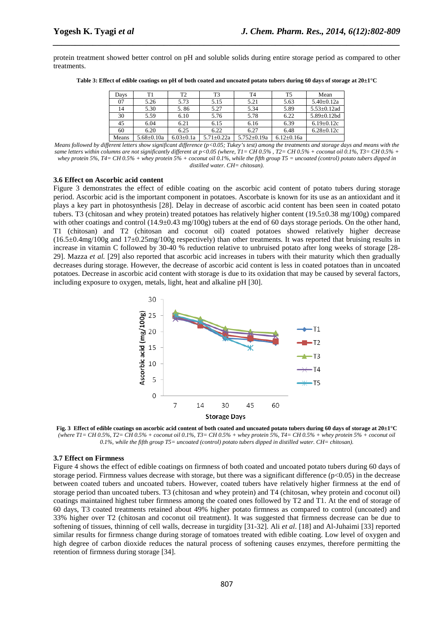protein treatment showed better control on pH and soluble solids during entire storage period as compared to other treatments.

*\_\_\_\_\_\_\_\_\_\_\_\_\_\_\_\_\_\_\_\_\_\_\_\_\_\_\_\_\_\_\_\_\_\_\_\_\_\_\_\_\_\_\_\_\_\_\_\_\_\_\_\_\_\_\_\_\_\_\_\_\_\_\_\_\_\_\_\_\_\_\_\_\_\_\_\_\_\_*

**Table 3: Effect of edible coatings on pH of both coated and uncoated potato tubers during 60 days of storage at 20±1°C** 

| Days  | T1               | T2              | T3               | T4                | T5               | Mean               |
|-------|------------------|-----------------|------------------|-------------------|------------------|--------------------|
| 07    | 5.26             | 5.73            | 5.15             | 5.21              | 5.63             | $5.40 \pm 0.12a$   |
| 14    | 5.30             | 5.86            | 5.27             | 5.34              | 5.89             | $5.53 \pm 0.12$ ad |
| 30    | 5.59             | 6.10            | 5.76             | 5.78              | 6.22             | $5.89 \pm 0.12$ bd |
| 45    | 6.04             | 6.21            | 6.15             | 6.16              | 6.39             | $6.19 \pm 0.12c$   |
| 60    | 6.20             | 6.25            | 6.22             | 6.27              | 6.48             | $6.28 \pm 0.12c$   |
| Means | $5.68 \pm 0.10a$ | $6.03 \pm 0.1a$ | $5.71 \pm 0.22a$ | $5.752 \pm 0.19a$ | $6.12 \pm 0.16a$ |                    |

*Means followed by different letters show significant difference (p<0.05; Tukey's test) among the treatments and storage days and means with the same letters within columns are not significantly different at p<0.05 (where, T1= CH 0.5% , T2= CH 0.5% + coconut oil 0.1%, T3= CH 0.5% + whey protein 5%, T4= CH 0.5% + whey protein 5% + coconut oil 0.1%, while the fifth group T5 = uncoated (control) potato tubers dipped in distilled water. CH= chitosan).* 

#### **3.6 Effect on Ascorbic acid content**

Figure 3 demonstrates the effect of edible coating on the ascorbic acid content of potato tubers during storage period. Ascorbic acid is the important component in potatoes. Ascorbate is known for its use as an antioxidant and it plays a key part in photosynthesis [28]. Delay in decrease of ascorbic acid content has been seen in coated potato tubers. T3 (chitosan and whey protein) treated potatoes has relatively higher content (19.5±0.38 mg/100g) compared with other coatings and control  $(14.9\pm0.43 \text{ mg}/100g)$  tubers at the end of 60 days storage periods. On the other hand, T1 (chitosan) and T2 (chitosan and coconut oil) coated potatoes showed relatively higher decrease  $(16.5±0.4mg/100g$  and  $17±0.25mg/100g$  respectively) than other treatments. It was reported that bruising results in increase in vitamin C followed by 30-40 % reduction relative to unbruised potato after long weeks of storage [28- 29]. Mazza *et al.* [29] also reported that ascorbic acid increases in tubers with their maturity which then gradually decreases during storage. However, the decrease of ascorbic acid content is less in coated potatoes than in uncoated potatoes. Decrease in ascorbic acid content with storage is due to its oxidation that may be caused by several factors, including exposure to oxygen, metals, light, heat and alkaline pH [30].



**Fig. 3 Effect of edible coatings on ascorbic acid content of both coated and uncoated potato tubers during 60 days of storage at 20±1°C**  *(where T1= CH 0.5%, T2= CH 0.5% + coconut oil 0.1%, T3= CH 0.5% + whey protein 5%, T4= CH 0.5% + whey protein 5% + coconut oil 0.1%, while the fifth group T5= uncoated (control) potato tubers dipped in distilled water. CH= chitosan).* 

#### **3.7 Effect on Firmness**

Figure 4 shows the effect of edible coatings on firmness of both coated and uncoated potato tubers during 60 days of storage period. Firmness values decrease with storage, but there was a significant difference  $(p<0.05)$  in the decrease between coated tubers and uncoated tubers. However, coated tubers have relatively higher firmness at the end of storage period than uncoated tubers. T3 (chitosan and whey protein) and T4 (chitosan, whey protein and coconut oil) coatings maintained highest tuber firmness among the coated ones followed by T2 and T1. At the end of storage of 60 days, T3 coated treatments retained about 49% higher potato firmness as compared to control (uncoated) and 33% higher over T2 (chitosan and coconut oil treatment). It was suggested that firmness decrease can be due to softening of tissues, thinning of cell walls, decrease in turgidity [31-32]. Ali *et al*. [18] and Al-Juhaimi [33] reported similar results for firmness change during storage of tomatoes treated with edible coating. Low level of oxygen and high degree of carbon dioxide reduces the natural process of softening causes enzymes, therefore permitting the retention of firmness during storage [34].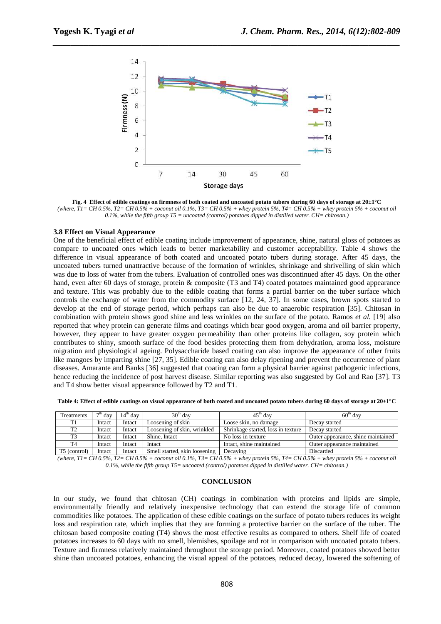

*\_\_\_\_\_\_\_\_\_\_\_\_\_\_\_\_\_\_\_\_\_\_\_\_\_\_\_\_\_\_\_\_\_\_\_\_\_\_\_\_\_\_\_\_\_\_\_\_\_\_\_\_\_\_\_\_\_\_\_\_\_\_\_\_\_\_\_\_\_\_\_\_\_\_\_\_\_\_*

**Fig. 4 Effect of edible coatings on firmness of both coated and uncoated potato tubers during 60 days of storage at 20±1°C**  *(where, T1= CH 0.5%, T2= CH 0.5% + coconut oil 0.1%, T3= CH 0.5% + whey protein 5%, T4= CH 0.5% + whey protein 5% + coconut oil 0.1%, while the fifth group T5 = uncoated (control) potatoes dipped in distilled water. CH= chitosan.)*

#### **3.8 Effect on Visual Appearance**

One of the beneficial effect of edible coating include improvement of appearance, shine, natural gloss of potatoes as compare to uncoated ones which leads to better marketability and customer acceptability. Table 4 shows the difference in visual appearance of both coated and uncoated potato tubers during storage. After 45 days, the uncoated tubers turned unattractive because of the formation of wrinkles, shrinkage and shrivelling of skin which was due to loss of water from the tubers. Evaluation of controlled ones was discontinued after 45 days. On the other hand, even after 60 days of storage, protein & composite (T3 and T4) coated potatoes maintained good appearance and texture. This was probably due to the edible coating that forms a partial barrier on the tuber surface which controls the exchange of water from the commodity surface [12, 24, 37]. In some cases, brown spots started to develop at the end of storage period, which perhaps can also be due to anaerobic respiration [35]. Chitosan in combination with protein shows good shine and less wrinkles on the surface of the potato. Ramos *et al.* [19] also reported that whey protein can generate films and coatings which bear good oxygen, aroma and oil barrier property, however, they appear to have greater oxygen permeability than other proteins like collagen, soy protein which contributes to shiny, smooth surface of the food besides protecting them from dehydration, aroma loss, moisture migration and physiological ageing. Polysaccharide based coating can also improve the appearance of other fruits like mangoes by imparting shine [27, 35]. Edible coating can also delay ripening and prevent the occurrence of plant diseases. Amarante and Banks [36] suggested that coating can form a physical barrier against pathogenic infections, hence reducing the incidence of post harvest disease. Similar reporting was also suggested by Gol and Rao [37]. T3 and T4 show better visual appearance followed by T2 and T1.

**Table 4: Effect of edible coatings on visual appearance of both coated and uncoated potato tubers during 60 days of storage at 20±1°C** 

| Treatments     | $7th$ day | $14th$ day | $30th$ dav                    | $45th$ day                         | $60th$ dav                         |
|----------------|-----------|------------|-------------------------------|------------------------------------|------------------------------------|
| T1             | Intact    | Intact     | Loosening of skin             | Loose skin, no damage              | Decay started                      |
| T <sub>2</sub> | Intact    | Intact     | Loosening of skin, wrinkled   | Shrinkage started, loss in texture | Decay started                      |
| T <sub>3</sub> | Intact    | Intact     | Shine, Intact                 | No loss in texture                 | Outer appearance, shine maintained |
| T <sub>4</sub> | Intact    | Intact     | Intact                        | Intact, shine maintained           | Outer appearance maintained        |
| T5 (control)   | Intact    | Intact     | Smell started, skin loosening | Decaying                           | Discarded                          |

*(where, T1= CH 0.5%, T2= CH 0.5% + coconut oil 0.1%, T3= CH 0.5% + whey protein 5%, T4= CH 0.5% + whey protein 5% + coconut oil 0.1%, while the fifth group T5= uncoated (control) potatoes dipped in distilled water. CH= chitosan.)* 

#### **CONCLUSION**

In our study, we found that chitosan (CH) coatings in combination with proteins and lipids are simple, environmentally friendly and relatively inexpensive technology that can extend the storage life of common commodities like potatoes. The application of these edible coatings on the surface of potato tubers reduces its weight loss and respiration rate, which implies that they are forming a protective barrier on the surface of the tuber. The chitosan based composite coating (T4) shows the most effective results as compared to others. Shelf life of coated potatoes increases to 60 days with no smell, blemishes, spoilage and rot in comparison with uncoated potato tubers. Texture and firmness relatively maintained throughout the storage period. Moreover, coated potatoes showed better shine than uncoated potatoes, enhancing the visual appeal of the potatoes, reduced decay, lowered the softening of